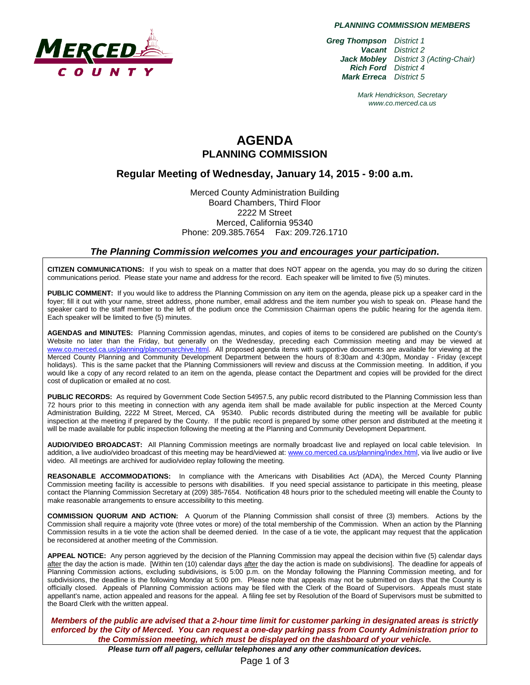

*PLANNING COMMISSION MEMBERS*

*Greg Thompson District 1 Vacant District 2 Jack Mobley District 3 (Acting-Chair) Rich Ford District 4 Mark Erreca District 5*

> *Mark Hendrickson, Secretary www.co.merced.ca.us*

# **AGENDA PLANNING COMMISSION**

# **Regular Meeting of Wednesday, January 14, 2015 - 9:00 a.m.**

Merced County Administration Building Board Chambers, Third Floor 2222 M Street Merced, California 95340 Phone: 209.385.7654 Fax: 209.726.1710

#### *The Planning Commission welcomes you and encourages your participation***.**

**CITIZEN COMMUNICATIONS:** If you wish to speak on a matter that does NOT appear on the agenda, you may do so during the citizen communications period. Please state your name and address for the record. Each speaker will be limited to five (5) minutes.

**PUBLIC COMMENT:** If you would like to address the Planning Commission on any item on the agenda, please pick up a speaker card in the foyer; fill it out with your name, street address, phone number, email address and the item number you wish to speak on. Please hand the speaker card to the staff member to the left of the podium once the Commission Chairman opens the public hearing for the agenda item. Each speaker will be limited to five (5) minutes.

**AGENDAS and MINUTES:** Planning Commission agendas, minutes, and copies of items to be considered are published on the County's Website no later than the Friday, but generally on the Wednesday, preceding each Commission meeting and may be viewed at [www.co.merced.ca.us/planning/plancomarchive.html.](http://www.co.merced.ca.us/planning/plancomarchive.html) All proposed agenda items with supportive documents are available for viewing at the Merced County Planning and Community Development Department between the hours of 8:30am and 4:30pm, Monday - Friday (except holidays). This is the same packet that the Planning Commissioners will review and discuss at the Commission meeting. In addition, if you would like a copy of any record related to an item on the agenda, please contact the Department and copies will be provided for the direct cost of duplication or emailed at no cost.

**PUBLIC RECORDS:** As required by Government Code Section 54957.5, any public record distributed to the Planning Commission less than 72 hours prior to this meeting in connection with any agenda item shall be made available for public inspection at the Merced County Administration Building, 2222 M Street, Merced, CA 95340. Public records distributed during the meeting will be available for public inspection at the meeting if prepared by the County. If the public record is prepared by some other person and distributed at the meeting it will be made available for public inspection following the meeting at the Planning and Community Development Department.

**AUDIO/VIDEO BROADCAST:** All Planning Commission meetings are normally broadcast live and replayed on local cable television. In addition, a live audio/video broadcast of this meeting may be heard/viewed at: [www.co.merced.ca.us/planning/index.html,](http://www.co.merced.ca.us/planning/index.html) via live audio or live video. All meetings are archived for audio/video replay following the meeting.

**REASONABLE ACCOMMODATIONS:** In compliance with the Americans with Disabilities Act (ADA), the Merced County Planning Commission meeting facility is accessible to persons with disabilities. If you need special assistance to participate in this meeting, please contact the Planning Commission Secretary at (209) 385-7654. Notification 48 hours prior to the scheduled meeting will enable the County to make reasonable arrangements to ensure accessibility to this meeting.

**COMMISSION QUORUM AND ACTION:** A Quorum of the Planning Commission shall consist of three (3) members. Actions by the Commission shall require a majority vote (three votes or more) of the total membership of the Commission. When an action by the Planning Commission results in a tie vote the action shall be deemed denied. In the case of a tie vote, the applicant may request that the application be reconsidered at another meeting of the Commission.

**APPEAL NOTICE:** Any person aggrieved by the decision of the Planning Commission may appeal the decision within five (5) calendar days after the day the action is made. [Within ten (10) calendar days after the day the action is made on subdivisions]. The deadline for appeals of Planning Commission actions, excluding subdivisions, is 5:00 p.m. on the Monday following the Planning Commission meeting, and for subdivisions, the deadline is the following Monday at 5:00 pm. Please note that appeals may not be submitted on days that the County is officially closed. Appeals of Planning Commission actions may be filed with the Clerk of the Board of Supervisors. Appeals must state appellant's name, action appealed and reasons for the appeal. A filing fee set by Resolution of the Board of Supervisors must be submitted to the Board Clerk with the written appeal.

*Members of the public are advised that a 2-hour time limit for customer parking in designated areas is strictly enforced by the City of Merced. You can request a one-day parking pass from County Administration prior to the Commission meeting, which must be displayed on the dashboard of your vehicle.*

*Please turn off all pagers, cellular telephones and any other communication devices.*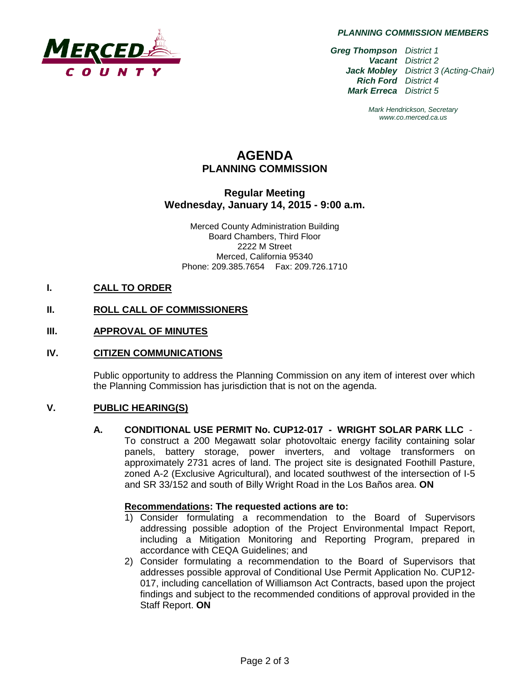

*PLANNING COMMISSION MEMBERS*

*Greg Thompson District 1 Vacant District 2 Jack Mobley District 3 (Acting-Chair) Rich Ford District 4 Mark Erreca District 5*

> *Mark Hendrickson, Secretary www.co.merced.ca.us*

# **AGENDA PLANNING COMMISSION**

# **Regular Meeting Wednesday, January 14, 2015 - 9:00 a.m.**

Merced County Administration Building Board Chambers, Third Floor 2222 M Street Merced, California 95340 Phone: 209.385.7654 Fax: 209.726.1710

## **I. CALL TO ORDER**

# **II. ROLL CALL OF COMMISSIONERS**

## **III. APPROVAL OF MINUTES**

## **IV. CITIZEN COMMUNICATIONS**

Public opportunity to address the Planning Commission on any item of interest over which the Planning Commission has jurisdiction that is not on the agenda.

## **V. PUBLIC HEARING(S)**

**A. CONDITIONAL USE PERMIT No. CUP12-017 - WRIGHT SOLAR PARK LLC** - To construct a 200 Megawatt solar photovoltaic energy facility containing solar panels, battery storage, power inverters, and voltage transformers on approximately 2731 acres of land. The project site is designated Foothill Pasture, zoned A-2 (Exclusive Agricultural), and located southwest of the intersection of I-5 and SR 33/152 and south of Billy Wright Road in the Los Baños area. **ON**

#### **Recommendations: The requested actions are to:**

- 1) Consider formulating a recommendation to the Board of Supervisors addressing possible adoption of the Project Environmental Impact Report, including a Mitigation Monitoring and Reporting Program, prepared in accordance with CEQA Guidelines; and
- 2) Consider formulating a recommendation to the Board of Supervisors that addresses possible approval of Conditional Use Permit Application No. CUP12- 017, including cancellation of Williamson Act Contracts, based upon the project findings and subject to the recommended conditions of approval provided in the Staff Report. **ON**